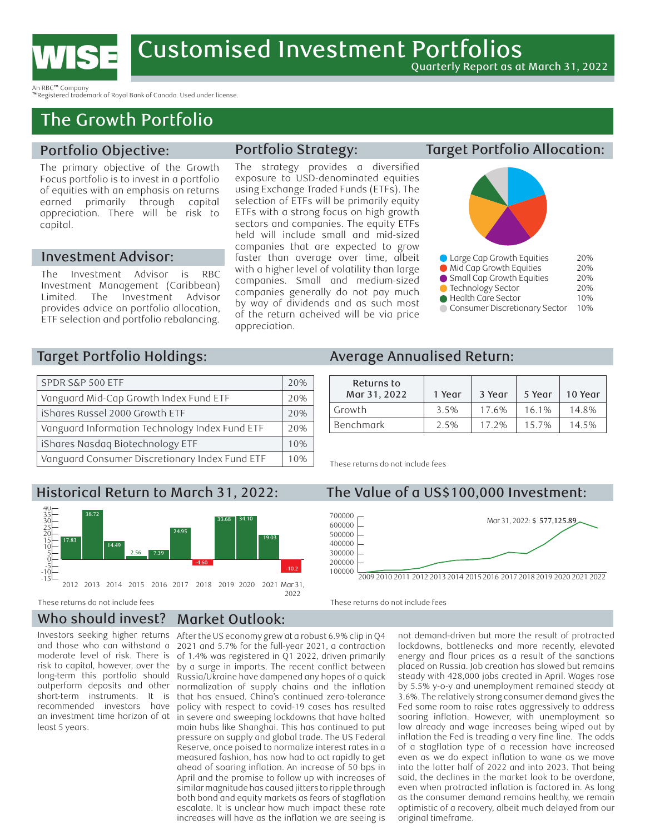

An RBC™ Company

™Registered trademark of Royal Bank of Canada. Used under license.

## The Growth Portfolio

#### Portfolio Objective:

The primary objective of the Growth Focus portfolio is to invest in a portfolio of equities with an emphasis on returns earned primarily through capital appreciation. There will be risk to capital.

#### Investment Advisor:

The Investment Advisor is RBC Investment Management (Caribbean) Limited. The Investment Advisor provides advice on portfolio allocation, ETF selection and portfolio rebalancing.

#### Portfolio Strategy:

The strategy provides a diversified exposure to USD-denominated equities using Exchange Traded Funds (ETFs). The selection of ETFs will be primarily equity ETFs with a strong focus on high growth sectors and companies. The equity ETFs held will include small and mid-sized companies that are expected to grow faster than average over time, albeit with a higher level of volatility than large companies. Small and medium-sized companies generally do not pay much by way of dividends and as such most of the return acheived will be via price appreciation.

### Target Portfolio Allocation:



| • Large Cap Growth Equities   | 20% |
|-------------------------------|-----|
| Mid Cap Growth Equities       | 20% |
| Small Cap Growth Equities     | 20% |
| ● Technology Sector           | 20% |
| Health Care Sector            | 10% |
| Consumer Discretionary Sector | 10% |
|                               |     |

#### Large Cap Growth Equities 20% Target Portfolio Holdings:

| SPDR S&P 500 ETF                               | 20% |
|------------------------------------------------|-----|
| Vanguard Mid-Cap Growth Index Fund ETF         | 20% |
| iShares Russel 2000 Growth ETF                 | 20% |
| Vanguard Information Technology Index Fund ETF | 20% |
| iShares Nasdaq Biotechnology ETF               | 10% |
| Vanguard Consumer Discretionary Index Fund ETF | 10% |

## **Historical Return to March 31, 2022:**



 2022 These returns do not include fees

200000

#### Who should invest? Market Outlook:

Investors seeking higher returns and those who can withstand a moderate level of risk. There is risk to capital, however, over the long-term this portfolio should outperform deposits and other short-term instruments. It is recommended investors have an investment time horizon of at least 5 years.

Russia/Ukraine have dampened any hopes of a quick by a surge in imports. The recent conflict between -5 0 of 1.4% was registered in Q1 2022, driven primarily 5 10 2021 and 5.7% for the full-year 2021, a contraction 15 20 17.83 After the US economy grew at a robust 6.9% clip in Q4 normalization of supply chains and the inflation that has ensued. China's continued zero-tolerance policy with respect to covid-19 cases has resulted in severe and sweeping lockdowns that have halted main hubs like Shanghai. This has continued to put pressure on supply and global trade. The US Federal Reserve, once poised to normalize interest rates in a measured fashion, has now had to act rapidly to get ahead of soaring inflation. An increase of 50 bps in April and the promise to follow up with increases of similar magnitude has caused jitters to ripple through both bond and equity markets as fears of stagflation escalate. It is unclear how much impact these rate increases will have as the inflation we are seeing is

#### Average Annualised Return: 600000

| Returns to   |        |        |         |         |
|--------------|--------|--------|---------|---------|
| Mar 31, 2022 | 1 Year | 3 Year | 5 Year  | 10 Year |
| ' Growth     | 3.5%   | 7.6%   | $6.1\%$ | 14.8%   |
| Benchmark    | 2.5%   | 2%     | 5.7%    | $4.5\%$ |

These returns do not include fees

# Historical Return to March 31, 2022: The Value of a US\$100,000 Investment:



24.95

35 These returns do not include fees 38.72

> as the consumer demand remains healthy, we remain not demand-driven but more the result of protracted 2.56 7.39 lockdowns, bottlenecks and more recently, elevated -4.60 energy and flour prices as a result of the sanctions placed on Russia. Job creation has slowed but remains 1 quick steady with 428,000 jobs created in April. Wages rose flation by 5.5% y-o-y and unemployment remained steady at 3.6%. The relatively strong consumer demand gives the Fed some room to raise rates aggressively to address soaring inflation. However, with unemployment so low already and wage increases being wiped out by inflation the Fed is treading a very fine line. The odds of a stagflation type of a recession have increased even as we do expect inflation to wane as we move into the latter half of 2022 and into 2023. That being said, the declines in the market look to be overdone, even when protracted inflation is factored in. As long optimistic of a recovery, albeit much delayed from our original timeframe.